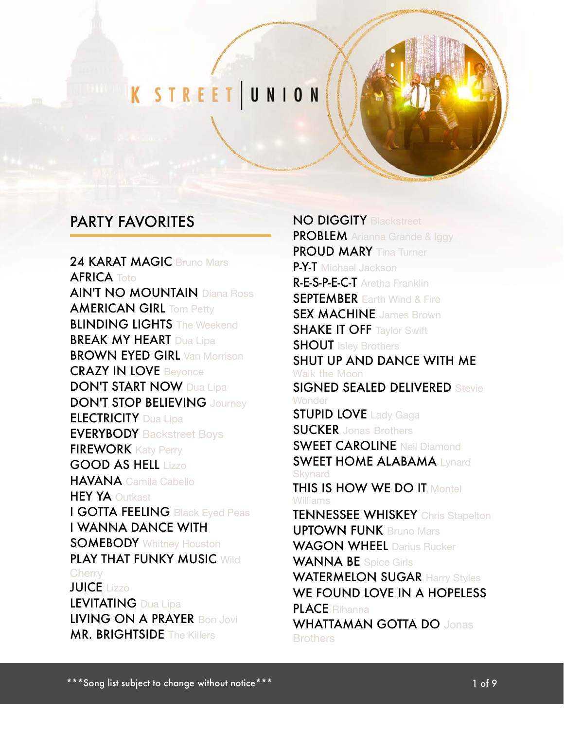# K STREET UNION

#### PARTY FAVORITES

24 KARAT MAGIC Bruno Mars **AFRICA** Toto AIN'T NO MOUNTAIN Diana Ross **AMERICAN GIRL Tom Petty BLINDING LIGHTS** The Weekend **BREAK MY HEART** Dua Lipa **BROWN EYED GIRL Van Morrison** CRAZY IN LOVE Beyonce **DON'T START NOW Dua Lipa** DON'T STOP BELIEVING Journey **ELECTRICITY** Dua Lipa **EVERYBODY** Backstreet Boys **FIREWORK** Katy Perry GOOD AS HELL Lizzo HAVANA Camila Cabello **HEY YA Outkast** I GOTTA FEELING Black Eyed Peas I WANNA DANCE WITH **SOMEBODY** Whitney Houston PLAY THAT FUNKY MUSIC Wild **Cherry** JUICE Lizzo LEVITATING Dua Lipa LIVING ON A PRAYER Bon Jovi **MR. BRIGHTSIDE The Killers** 

NO DIGGITY Blackstreet **PROBLEM** Arianna Grande & Iggy PROUD MARY Tina Turner P-Y-T Michael Jackson R-E-S-P-E-C-T Aretha Franklin **SEPTEMBER** Earth Wind & Fire **SEX MACHINE** James Brown **SHAKE IT OFF Taylor Swift SHOUT** Isley Brothers SHUT UP AND DANCE WITH ME Walk the Moon SIGNED SEALED DELIVERED Stevie **Wonder STUPID LOVE** Lady Gaga **SUCKER** Jonas Brothers **SWEET CAROLINE Neil Diamond SWEET HOME ALABAMA Lynard Skynard THIS IS HOW WE DO IT Montel** Williams **TENNESSEE WHISKEY** Chris Stapelton UPTOWN FUNK Bruno Mars WAGON WHEEL Darius Rucker WANNA BE Spice Girls WATERMELON SUGAR Harry Styles WE FOUND LOVE IN A HOPELESS PLACE Rihanna WHATTAMAN GOTTA DO Jonas **Brothers**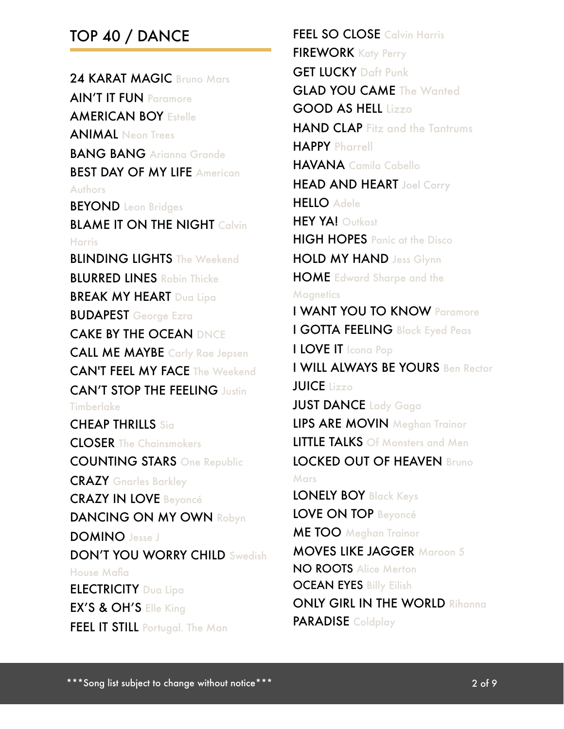#### TOP 40 / DANCE

24 KARAT MAGIC Bruno Mars AIN'T IT FUN Paramore AMERICAN BOY Estelle ANIMAL Neon Trees BANG BANG Arianna Grande BEST DAY OF MY LIFE American Authors **BEYOND** Leon Bridges **BLAME IT ON THE NIGHT Calvin** Harris **BLINDING LIGHTS** The Weekend **BLURRED LINES** Robin Thicke **BREAK MY HEART** Dua Lipa BUDAPEST George Ezra CAKE BY THE OCEAN DNCE CALL ME MAYBE Carly Rae Jepsen CAN'T FEEL MY FACE The Weekend CAN'T STOP THE FEELING Justin **Timberlake** CHEAP THRILLS Sia CLOSER The Chainsmokers COUNTING STARS One Republic CRAZY Gnarles Barkley CRAZY IN LOVE Beyoncé DANCING ON MY OWN Robyn DOMINO Jesse J DON'T YOU WORRY CHILD Swedish House Mafia ELECTRICITY Dua Lipa EX'S & OH'S Elle King **FEEL IT STILL** Portugal. The Man

FEEL SO CLOSE Calvin Harris FIREWORK Katy Perry GET LUCKY Daft Punk **GLAD YOU CAME** The Wanted GOOD AS HELL Lizzo HAND CLAP Fitz and the Tantrums HAPPY Pharrell HAVANA Camila Cabello **HEAD AND HEART** Joel Corry HELLO Adele **HEY YA! Outkast** HIGH HOPES Panic at the Disco HOLD MY HAND Jess Glynn HOME Edward Sharpe and the **Magnetics** I WANT YOU TO KNOW Paramore I GOTTA FEELING Black Eyed Peas I LOVE IT Icona Pop I WILL ALWAYS BE YOURS Ben Rector JUICE Lizzo JUST DANCE Lady Gaga LIPS ARE MOVIN Meghan Trainor LITTLE TALKS Of Monsters and Men LOCKED OUT OF HEAVEN Bruno **Mars** LONELY BOY Black Keys LOVE ON TOP Beyoncé ME TOO Meghan Trainor MOVES LIKE JAGGER Maroon 5 NO ROOTS Alice Merton **OCEAN EYES Billy Eilish** ONLY GIRL IN THE WORLD Rihanna PARADISE Coldplay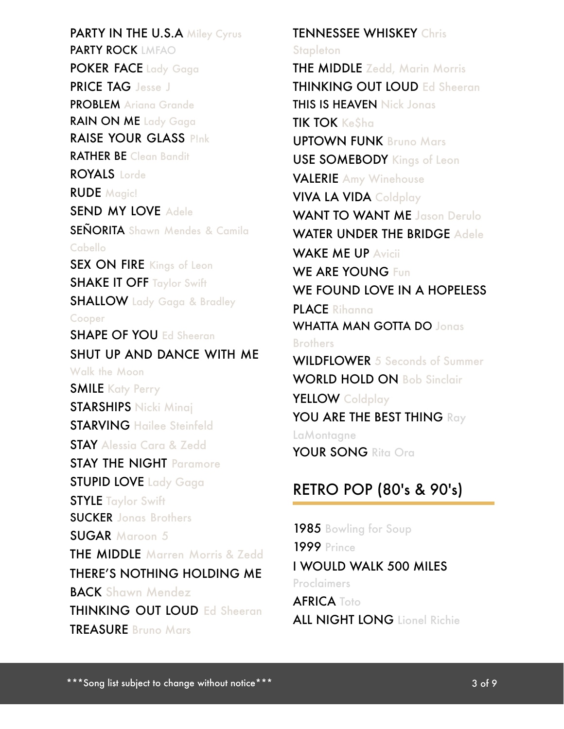PARTY IN THE U.S.A Miley Cyrus PARTY ROCK LMFAO POKER FACE Lady Gaga PRICE TAG Jesse J PROBLEM Ariana Grande RAIN ON ME Lady Gaga RAISE YOUR GLASS P!nk RATHER BE Clean Bandit ROYALS Lorde RUDE Magic! SEND MY LOVE Adele SEÑORITA Shawn Mendes & Camila Cabello SEX ON FIRE Kings of Leon **SHAKE IT OFF Taylor Swift** SHALLOW Lady Gaga & Bradley Cooper SHAPE OF YOU Ed Sheeran SHUT UP AND DANCE WITH ME Walk the Moon **SMILE** Katy Perry STARSHIPS Nicki Minaj STARVING Hailee Steinfeld STAY Alessia Cara & Zedd STAY THE NIGHT Paramore **STUPID LOVE** Lady Gaga **STYLE Taylor Swift** SUCKER Jonas Brothers SUGAR Maroon 5 THE MIDDLE Marren Morris & Zedd THERE'S NOTHING HOLDING ME **BACK Shawn Mendez** THINKING OUT LOUD Ed Sheeran TREASURE Bruno Mars

TENNESSEE WHISKEY Chris **Stapleton THE MIDDLE** Zedd, Marin Morris THINKING OUT LOUD Ed Sheeran THIS IS HEAVEN Nick Jonas TIK TOK Ke\$ha UPTOWN FUNK Bruno Mars USE SOMEBODY Kings of Leon VALERIE Amy Winehouse VIVA LA VIDA Coldplay WANT TO WANT ME Jason Derulo WATER UNDER THE BRIDGE Adeler WAKE ME UP Avicii WE ARE YOUNG Fun WE FOUND LOVE IN A HOPELESS PLACE Rihanna WHATTA MAN GOTTA DO Jonas Brothers WILDFLOWER 5 Seconds of Summer WORLD HOLD ON Bob Sinclair YELLOW Coldplay YOU ARE THE BEST THING Ray **LaMontagne** YOUR SONG Rita Ora

#### RETRO POP (80's & 90's)

1985 Bowling for Soup **1999 Prince** I WOULD WALK 500 MILES Proclaimers **AFRICA** Toto ALL NIGHT LONG Lionel Richie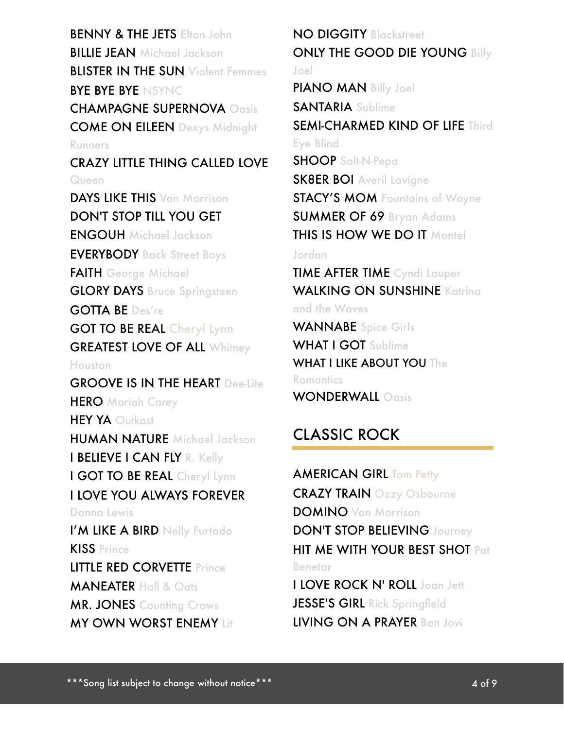BENNY & THE JETS Elton John **BILLIE JEAN** Michael Jackson **BLISTER IN THE SUN** Violent Femmes BYE BYE BYE NSYNC CHAMPAGNE SUPERNOVA Oasis COME ON EILEEN Dexys Midnight Runners CRAZY LITTLE THING CALLED LOVE Queen DAYS LIKE THIS Van Morrison DON'T STOP TILL YOU GET ENGOUH Michael Jackson EVERYBODY Back Street Boys FAITH George Michael **GLORY DAYS** Bruce Springsteen GOTTA BE Des're GOT TO BE REAL Cheryl Lynn **GREATEST LOVE OF ALL Whitney** Houston GROOVE IS IN THE HEART Dee-Lite **HERO** Mariah Carey HEY YA Outkast HUMAN NATURE Michael Jackson I BELIEVE I CAN FLY R. Kelly I GOT TO BE REAL Cheryl Lynn I LOVE YOU ALWAYS FOREVER Donna Lewis I'M LIKE A BIRD Nelly Furtado KISS Prince LITTLE RED CORVETTE Prince MANEATER Hall & Oats **MR. JONES** Counting Crows **MY OWN WORST ENEMY Lit** 

NO DIGGITY Blackstreet ONLY THE GOOD DIE YOUNG Billy Joel PIANO MAN Billy Joel SANTARIA Sublime SEMI-CHARMED KIND OF LIFE Third Eye Blind SHOOP Salt-N-Pepa SK8ER BOI Averil Lavigne STACY'S MOM Fountains of Wayne SUMMER OF 69 Bryan Adams THIS IS HOW WE DO IT Montel Jordan TIME AFTER TIME Cyndi Lauper WALKING ON SUNSHINE Katrina and the Waves WANNABE Spice Girls WHAT I GOT Sublime WHAT I LIKE ABOUT YOU The **Romantics** WONDERWALL Oasis CLASSIC ROCK

**AMERICAN GIRL Tom Petty** CRAZY TRAIN Ozzy Osbourne DOMINO Van Morrison DON'T STOP BELIEVING Journey HIT ME WITH YOUR BEST SHOT Pat Benetar I LOVE ROCK N' ROLL Joan Jett JESSE'S GIRL Rick Springfield

LIVING ON A PRAYER Bon Jovi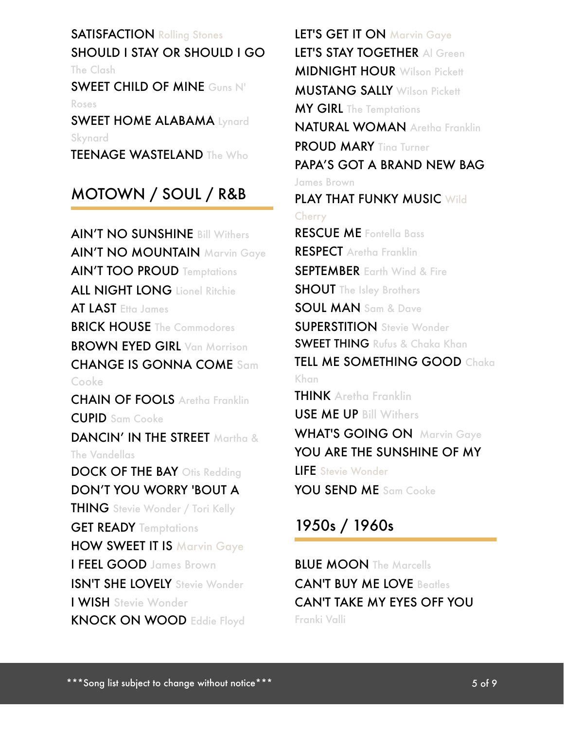#### **SATISFACTION Rolling Stones** SHOULD I STAY OR SHOULD I GO

The Clash

SWEET CHILD OF MINE Guns N' Roses

SWEET HOME ALABAMA Lynard Skynard

TEENAGE WASTELAND The Who

# MOTOWN / SOUL / R&B

AIN'T NO SUNSHINE Bill Withers AIN'T NO MOUNTAIN Marvin Gaye AIN'T TOO PROUD Temptations ALL NIGHT LONG Lionel Ritchie AT LAST Etta James **BRICK HOUSE** The Commodores **BROWN EYED GIRL Van Morrison** CHANGE IS GONNA COME Sam Cooke CHAIN OF FOOLS Aretha Franklin CUPID Sam Cooke DANCIN' IN THE STREET Martha & The Vandellas DOCK OF THE BAY Otis Redding DON'T YOU WORRY 'BOUT A THING Stevie Wonder / Tori Kelly **GET READY Temptations** HOW SWEET IT IS Marvin Gaye I FEEL GOOD James Brown **ISN'T SHE LOVELY** Stevie Wonder I WISH Stevie Wonder KNOCK ON WOOD Eddie Floyd

LET'S GET IT ON Marvin Gaye LET'S STAY TOGETHER Al Green MIDNIGHT HOUR Wilson Pickett MUSTANG SALLY Wilson Pickett MY GIRL The Temptations NATURAL WOMAN Aretha Franklin PROUD MARY Tina Turner PAPA'S GOT A BRAND NEW BAG James Brown PLAY THAT FUNKY MUSIC Wild **Cherry** RESCUE ME Fontella Bass RESPECT Aretha Franklin **SEPTEMBER** Earth Wind & Fire **SHOUT** The Isley Brothers SOUL MAN Sam & Dave **SUPERSTITION** Stevie Wonder SWEET THING Rufus & Chaka Khan TELL ME SOMETHING GOOD Chaka Khan **THINK** Aretha Franklin USE ME UP Bill Withers WHAT'S GOING ON Marvin Gaye YOU ARE THE SUNSHINE OF MY LIFE Stevie Wonder YOU SEND ME Sam Cooke

# 1950s / 1960s

**BLUE MOON** The Marcells CAN'T BUY ME LOVE Beatles CAN'T TAKE MY EYES OFF YOU Franki Valli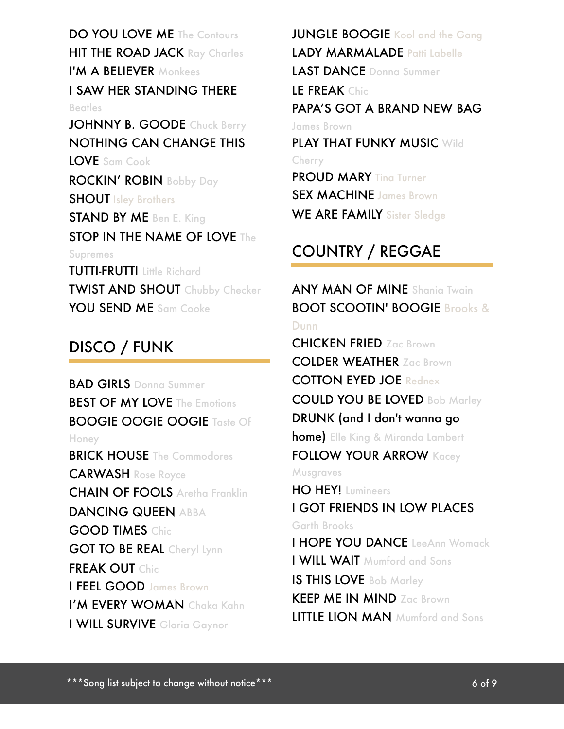DO YOU LOVE ME The Contours **HIT THE ROAD JACK** Ray Charles I'M A BELIEVER Monkees I SAW HER STANDING THERE **Beatles** JOHNNY B. GOODE Chuck Berry NOTHING CAN CHANGE THIS LOVE Sam Cook ROCKIN' ROBIN Bobby Day **SHOUT** Isley Brothers STAND BY ME Ben E. King STOP IN THE NAME OF LOVE The Supremes **TUTTI-FRUTTI** Little Richard TWIST AND SHOUT Chubby Checker

JUNGLE BOOGIE Kool and the Gang LADY MARMALADE Patti Labelle LAST DANCE Donna Summer **LE FREAK Chic** PAPA'S GOT A BRAND NEW BAG James Brown PLAY THAT FUNKY MUSIC Wild Cherry **PROUD MARY Ting Turner** SEX MACHINE James Brown

WE ARE FAMILY Sister Sledge

# COUNTRY / REGGAE

ANY MAN OF MINE Shania Twain BOOT SCOOTIN' BOOGIE Brooks & Dunn

CHICKEN FRIED Zac Brown COLDER WEATHER Zac Brown COTTON EYED JOE Rednex COULD YOU BE LOVED Bob Marley DRUNK (and I don't wanna go home) Elle King & Miranda Lambert **FOLLOW YOUR ARROW Kacey Musgraves** HO HEY! Lumineers I GOT FRIENDS IN LOW PLACES Garth Brooks I HOPE YOU DANCE LeeAnn Womack I WILL WAIT Mumford and Sons IS THIS LOVE Bob Marley KEEP ME IN MIND Zac Brown

LITTLE LION MAN Mumford and Sons

#### DISCO / FUNK

YOU SEND ME Sam Cooke

BAD GIRLS Donna Summer **BEST OF MY LOVE The Emotions** BOOGIE OOGIE OOGIE Taste Of Honey **BRICK HOUSE** The Commodores CARWASH Rose Royce CHAIN OF FOOLS Aretha Franklin DANCING QUEEN ABBA GOOD TIMES Chic **GOT TO BE REAL Cheryl Lynn** FREAK OUT Chic I FEEL GOOD James Brown I'M EVERY WOMAN Chaka Kahn I WILL SURVIVE Gloria Gaynor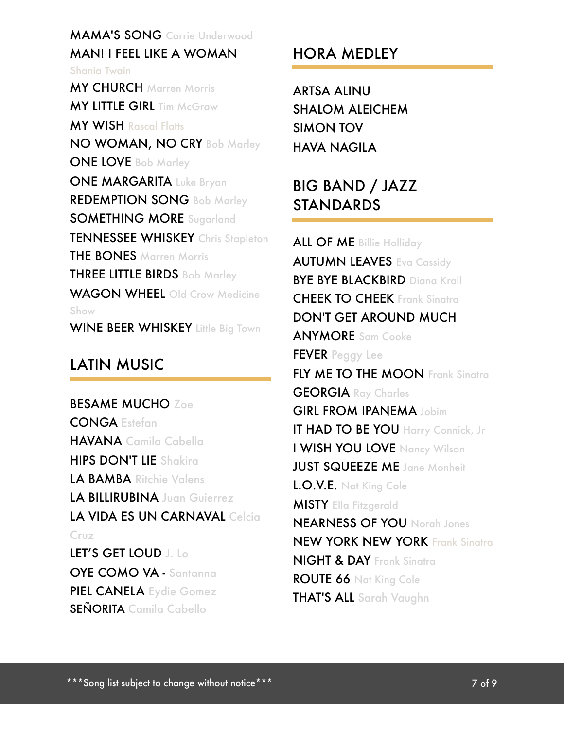#### MAMA'S SONG Carrie Underwood MAN! I FEEL LIKE A WOMAN

Shania Twain MY CHURCH Marren Morris **MY LITTLE GIRL Tim McGraw** MY WISH Rascal Flatts NO WOMAN, NO CRY Bob Marley ONE LOVE Bob Marley ONE MARGARITA Luke Bryan REDEMPTION SONG Bob Marley SOMETHING MORE Sugarland TENNESSEE WHISKEY Chris Stapleton **THE BONES** Marren Morris THREE LITTLE BIRDS Bob Marley WAGON WHEEL Old Crow Medicine Show WINE BEER WHISKEY Little Big Town

#### LATIN MUSIC

BESAME MUCHO Zoe CONGA Estefan HAVANA Camila Cabella HIPS DON'T LIE Shakira LA BAMBA Ritchie Valens LA BILLIRUBINA Juan Guierrez LA VIDA ES UN CARNAVAL Celcia Cruz LET'S GET LOUD J. Lo OYE COMO VA - Santanna PIEL CANELA Eydie Gomez SEÑORITA Camila Cabello

# HORA MEDLEY

ARTSA ALINU SHALOM ALEICHEM SIMON TOV HAVA NAGILA

# BIG BAND / JAZZ **STANDARDS**

ALL OF ME Billie Holliday **AUTUMN LEAVES Eva Cassidy BYE BYE BLACKBIRD Diana Krall** CHEEK TO CHEEK Frank Sinatra DON'T GET AROUND MUCH ANYMORE Sam Cooke FEVER Peggy Lee FLY ME TO THE MOON Frank Sinatra GEORGIA Ray Charles GIRL FROM IPANEMA Jobim IT HAD TO BE YOU Harry Connick, Jr I WISH YOU LOVE Nancy Wilson **JUST SQUEEZE ME** Jane Monheit L.O.V.E. Nat King Cole MISTY Ella Fitzgerald NEARNESS OF YOU Norah Jones NEW YORK NEW YORK Frank Sinatra NIGHT & DAY Frank Sinatra ROUTE 66 Nat King Cole THAT'S ALL Sarah Vaughn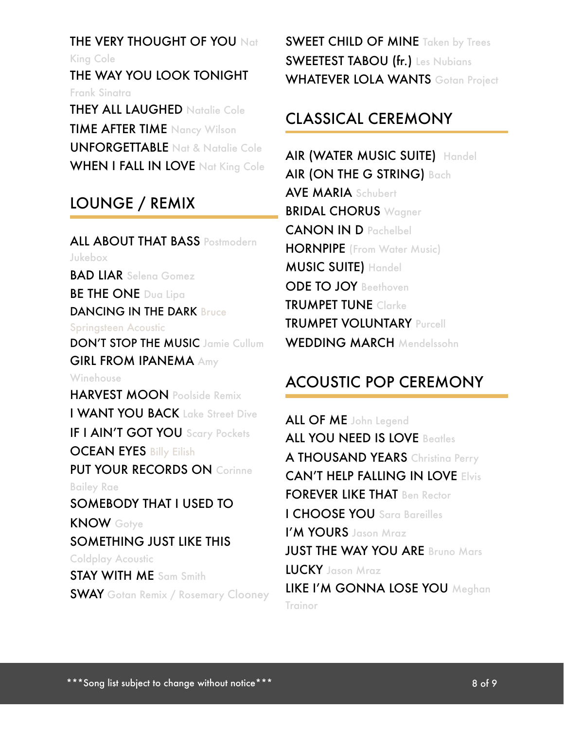**THE VERY THOUGHT OF YOU Nat** King Cole

THE WAY YOU LOOK TONIGHT Frank Sinatra THEY ALL LAUGHED Natalie Cole

TIME AFTER TIME Nancy Wilson UNFORGETTABLE Nat & Natalie Cole WHEN I FALL IN LOVE Nat King Cole

#### LOUNGE / REMIX

ALL ABOUT THAT BASS Postmodern Jukebox BAD LIAR Selena Gomez **BE THE ONE Dua Lipa** DANCING IN THE DARK Bruce Springsteen Acoustic DON'T STOP THE MUSIC Jamie Cullum GIRL FROM IPANEMA Amy **Winehouse** HARVEST MOON Poolside Remix I WANT YOU BACK Lake Street Dive IF I AIN'T GOT YOU Scary Pockets **OCEAN EYES Billy Eilish** PUT YOUR RECORDS ON Corinne Bailey Rae SOMEBODY THAT I USED TO KNOW Gotye SOMETHING JUST LIKE THIS Coldplay Acoustic STAY WITH ME Sam Smith **SWAY** Gotan Remix / Rosemary Clooney SWEET CHILD OF MINE Taken by Trees SWEETEST TABOU (fr.) Les Nubians WHATEVER LOLA WANTS Gotan Project

#### CLASSICAL CEREMONY

AIR (WATER MUSIC SUITE) Handel AIR (ON THE G STRING) Bach AVE MARIA Schubert BRIDAL CHORUS Wagner CANON IN D Pachelbel **HORNPIPE** (From Water Music) MUSIC SUITE) Handel ODE TO JOY Beethoven TRUMPET TUNE Clarke TRUMPET VOLUNTARY Purcell WEDDING MARCH Mendelssohn

#### ACOUSTIC POP CEREMONY

ALL OF ME John Legend ALL YOU NEED IS LOVE Beatles A THOUSAND YEARS Christing Perry CAN'T HELP FALLING IN LOVE Elvis FOREVER LIKE THAT Ben Rector I CHOOSE YOU Sara Bareilles I'M YOURS Jason Mraz **JUST THE WAY YOU ARE Bruno Mars** LUCKY Jason Mraz LIKE I'M GONNA LOSE YOU Meghan Trainor